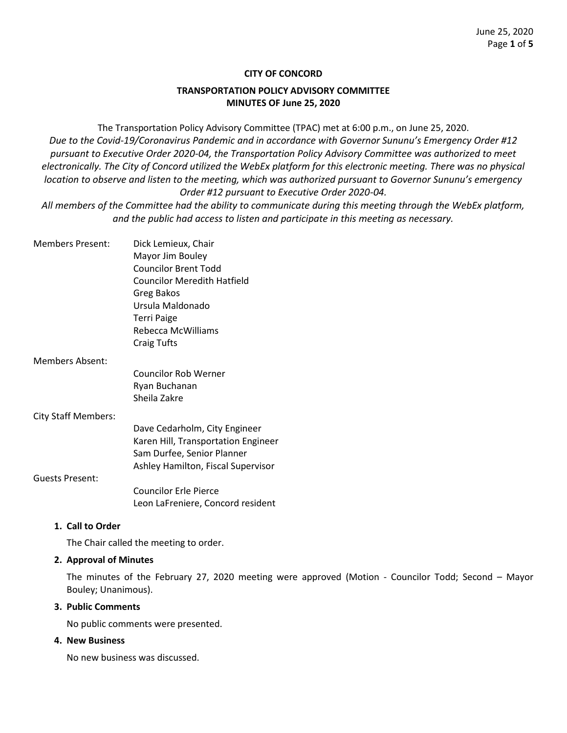### **CITY OF CONCORD**

## **TRANSPORTATION POLICY ADVISORY COMMITTEE MINUTES OF June 25, 2020**

The Transportation Policy Advisory Committee (TPAC) met at 6:00 p.m., on June 25, 2020. *Due to the Covid-19/Coronavirus Pandemic and in accordance with Governor Sununu's Emergency Order #12 pursuant to Executive Order 2020-04, the Transportation Policy Advisory Committee was authorized to meet electronically. The City of Concord utilized the WebEx platform for this electronic meeting. There was no physical location to observe and listen to the meeting, which was authorized pursuant to Governor Sununu's emergency Order #12 pursuant to Executive Order 2020-04.*

*All members of the Committee had the ability to communicate during this meeting through the WebEx platform, and the public had access to listen and participate in this meeting as necessary.* 

| <b>Members Present:</b>    | Dick Lemieux, Chair                 |
|----------------------------|-------------------------------------|
|                            | Mayor Jim Bouley                    |
|                            | Councilor Brent Todd                |
|                            | Councilor Meredith Hatfield         |
|                            | Greg Bakos                          |
|                            | Ursula Maldonado                    |
|                            | Terri Paige                         |
|                            | Rebecca McWilliams                  |
|                            | Craig Tufts                         |
| Members Absent:            |                                     |
|                            | Councilor Rob Werner                |
|                            | Ryan Buchanan                       |
|                            | Sheila Zakre                        |
| <b>City Staff Members:</b> |                                     |
|                            | Dave Cedarholm, City Engineer       |
|                            | Karen Hill, Transportation Engineer |
|                            | Sam Durfee, Senior Planner          |

#### Guests Present:

Councilor Erle Pierce Leon LaFreniere, Concord resident

Ashley Hamilton, Fiscal Supervisor

### **1. Call to Order**

The Chair called the meeting to order.

### **2. Approval of Minutes**

The minutes of the February 27, 2020 meeting were approved (Motion - Councilor Todd; Second – Mayor Bouley; Unanimous).

# **3. Public Comments**

No public comments were presented.

# **4. New Business**

No new business was discussed.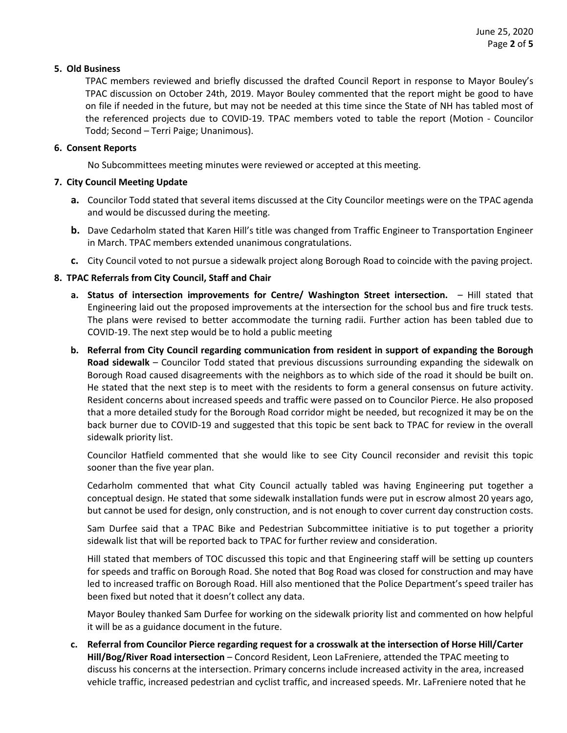# **5. Old Business**

TPAC members reviewed and briefly discussed the drafted Council Report in response to Mayor Bouley's TPAC discussion on October 24th, 2019. Mayor Bouley commented that the report might be good to have on file if needed in the future, but may not be needed at this time since the State of NH has tabled most of the referenced projects due to COVID-19. TPAC members voted to table the report (Motion - Councilor Todd; Second – Terri Paige; Unanimous).

### **6. Consent Reports**

No Subcommittees meeting minutes were reviewed or accepted at this meeting.

# **7. City Council Meeting Update**

- **a.** Councilor Todd stated that several items discussed at the City Councilor meetings were on the TPAC agenda and would be discussed during the meeting.
- **b.** Dave Cedarholm stated that Karen Hill's title was changed from Traffic Engineer to Transportation Engineer in March. TPAC members extended unanimous congratulations.
- **c.** City Council voted to not pursue a sidewalk project along Borough Road to coincide with the paving project.

# **8. TPAC Referrals from City Council, Staff and Chair**

- **a. Status of intersection improvements for Centre/ Washington Street intersection.**  Hill stated that Engineering laid out the proposed improvements at the intersection for the school bus and fire truck tests. The plans were revised to better accommodate the turning radii. Further action has been tabled due to COVID-19. The next step would be to hold a public meeting
- **b. Referral from City Council regarding communication from resident in support of expanding the Borough Road sidewalk** – Councilor Todd stated that previous discussions surrounding expanding the sidewalk on Borough Road caused disagreements with the neighbors as to which side of the road it should be built on. He stated that the next step is to meet with the residents to form a general consensus on future activity. Resident concerns about increased speeds and traffic were passed on to Councilor Pierce. He also proposed that a more detailed study for the Borough Road corridor might be needed, but recognized it may be on the back burner due to COVID-19 and suggested that this topic be sent back to TPAC for review in the overall sidewalk priority list.

Councilor Hatfield commented that she would like to see City Council reconsider and revisit this topic sooner than the five year plan.

Cedarholm commented that what City Council actually tabled was having Engineering put together a conceptual design. He stated that some sidewalk installation funds were put in escrow almost 20 years ago, but cannot be used for design, only construction, and is not enough to cover current day construction costs.

Sam Durfee said that a TPAC Bike and Pedestrian Subcommittee initiative is to put together a priority sidewalk list that will be reported back to TPAC for further review and consideration.

Hill stated that members of TOC discussed this topic and that Engineering staff will be setting up counters for speeds and traffic on Borough Road. She noted that Bog Road was closed for construction and may have led to increased traffic on Borough Road. Hill also mentioned that the Police Department's speed trailer has been fixed but noted that it doesn't collect any data.

Mayor Bouley thanked Sam Durfee for working on the sidewalk priority list and commented on how helpful it will be as a guidance document in the future.

**c. Referral from Councilor Pierce regarding request for a crosswalk at the intersection of Horse Hill/Carter Hill/Bog/River Road intersection** – Concord Resident, Leon LaFreniere, attended the TPAC meeting to discuss his concerns at the intersection. Primary concerns include increased activity in the area, increased vehicle traffic, increased pedestrian and cyclist traffic, and increased speeds. Mr. LaFreniere noted that he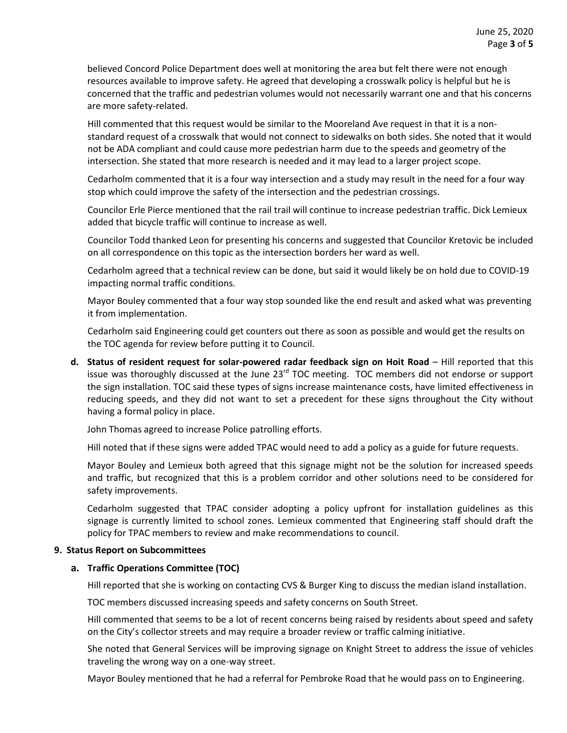believed Concord Police Department does well at monitoring the area but felt there were not enough resources available to improve safety. He agreed that developing a crosswalk policy is helpful but he is concerned that the traffic and pedestrian volumes would not necessarily warrant one and that his concerns are more safety-related.

Hill commented that this request would be similar to the Mooreland Ave request in that it is a nonstandard request of a crosswalk that would not connect to sidewalks on both sides. She noted that it would not be ADA compliant and could cause more pedestrian harm due to the speeds and geometry of the intersection. She stated that more research is needed and it may lead to a larger project scope.

Cedarholm commented that it is a four way intersection and a study may result in the need for a four way stop which could improve the safety of the intersection and the pedestrian crossings.

Councilor Erle Pierce mentioned that the rail trail will continue to increase pedestrian traffic. Dick Lemieux added that bicycle traffic will continue to increase as well.

Councilor Todd thanked Leon for presenting his concerns and suggested that Councilor Kretovic be included on all correspondence on this topic as the intersection borders her ward as well.

Cedarholm agreed that a technical review can be done, but said it would likely be on hold due to COVID-19 impacting normal traffic conditions.

Mayor Bouley commented that a four way stop sounded like the end result and asked what was preventing it from implementation.

Cedarholm said Engineering could get counters out there as soon as possible and would get the results on the TOC agenda for review before putting it to Council.

**d. Status of resident request for solar-powered radar feedback sign on Hoit Road** – Hill reported that this issue was thoroughly discussed at the June 23<sup>rd</sup> TOC meeting. TOC members did not endorse or support the sign installation. TOC said these types of signs increase maintenance costs, have limited effectiveness in reducing speeds, and they did not want to set a precedent for these signs throughout the City without having a formal policy in place.

John Thomas agreed to increase Police patrolling efforts.

Hill noted that if these signs were added TPAC would need to add a policy as a guide for future requests.

Mayor Bouley and Lemieux both agreed that this signage might not be the solution for increased speeds and traffic, but recognized that this is a problem corridor and other solutions need to be considered for safety improvements.

Cedarholm suggested that TPAC consider adopting a policy upfront for installation guidelines as this signage is currently limited to school zones. Lemieux commented that Engineering staff should draft the policy for TPAC members to review and make recommendations to council.

### **9. Status Report on Subcommittees**

# **a. Traffic Operations Committee (TOC)**

Hill reported that she is working on contacting CVS & Burger King to discuss the median island installation.

TOC members discussed increasing speeds and safety concerns on South Street.

Hill commented that seems to be a lot of recent concerns being raised by residents about speed and safety on the City's collector streets and may require a broader review or traffic calming initiative.

She noted that General Services will be improving signage on Knight Street to address the issue of vehicles traveling the wrong way on a one-way street.

Mayor Bouley mentioned that he had a referral for Pembroke Road that he would pass on to Engineering.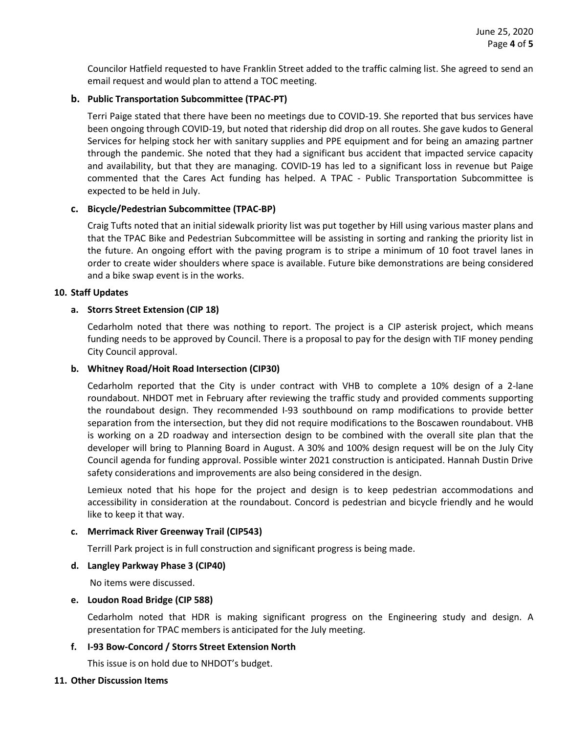Councilor Hatfield requested to have Franklin Street added to the traffic calming list. She agreed to send an email request and would plan to attend a TOC meeting.

# **b. Public Transportation Subcommittee (TPAC-PT)**

Terri Paige stated that there have been no meetings due to COVID-19. She reported that bus services have been ongoing through COVID-19, but noted that ridership did drop on all routes. She gave kudos to General Services for helping stock her with sanitary supplies and PPE equipment and for being an amazing partner through the pandemic. She noted that they had a significant bus accident that impacted service capacity and availability, but that they are managing. COVID-19 has led to a significant loss in revenue but Paige commented that the Cares Act funding has helped. A TPAC - Public Transportation Subcommittee is expected to be held in July.

## **c. Bicycle/Pedestrian Subcommittee (TPAC-BP)**

Craig Tufts noted that an initial sidewalk priority list was put together by Hill using various master plans and that the TPAC Bike and Pedestrian Subcommittee will be assisting in sorting and ranking the priority list in the future. An ongoing effort with the paving program is to stripe a minimum of 10 foot travel lanes in order to create wider shoulders where space is available. Future bike demonstrations are being considered and a bike swap event is in the works.

## **10. Staff Updates**

## **a. Storrs Street Extension (CIP 18)**

Cedarholm noted that there was nothing to report. The project is a CIP asterisk project, which means funding needs to be approved by Council. There is a proposal to pay for the design with TIF money pending City Council approval.

### **b. Whitney Road/Hoit Road Intersection (CIP30)**

Cedarholm reported that the City is under contract with VHB to complete a 10% design of a 2-lane roundabout. NHDOT met in February after reviewing the traffic study and provided comments supporting the roundabout design. They recommended I-93 southbound on ramp modifications to provide better separation from the intersection, but they did not require modifications to the Boscawen roundabout. VHB is working on a 2D roadway and intersection design to be combined with the overall site plan that the developer will bring to Planning Board in August. A 30% and 100% design request will be on the July City Council agenda for funding approval. Possible winter 2021 construction is anticipated. Hannah Dustin Drive safety considerations and improvements are also being considered in the design.

Lemieux noted that his hope for the project and design is to keep pedestrian accommodations and accessibility in consideration at the roundabout. Concord is pedestrian and bicycle friendly and he would like to keep it that way.

### **c. Merrimack River Greenway Trail (CIP543)**

Terrill Park project is in full construction and significant progress is being made.

# **d. Langley Parkway Phase 3 (CIP40)**

No items were discussed.

### **e. Loudon Road Bridge (CIP 588)**

Cedarholm noted that HDR is making significant progress on the Engineering study and design. A presentation for TPAC members is anticipated for the July meeting.

# **f. I-93 Bow-Concord / Storrs Street Extension North**

This issue is on hold due to NHDOT's budget.

### **11. Other Discussion Items**